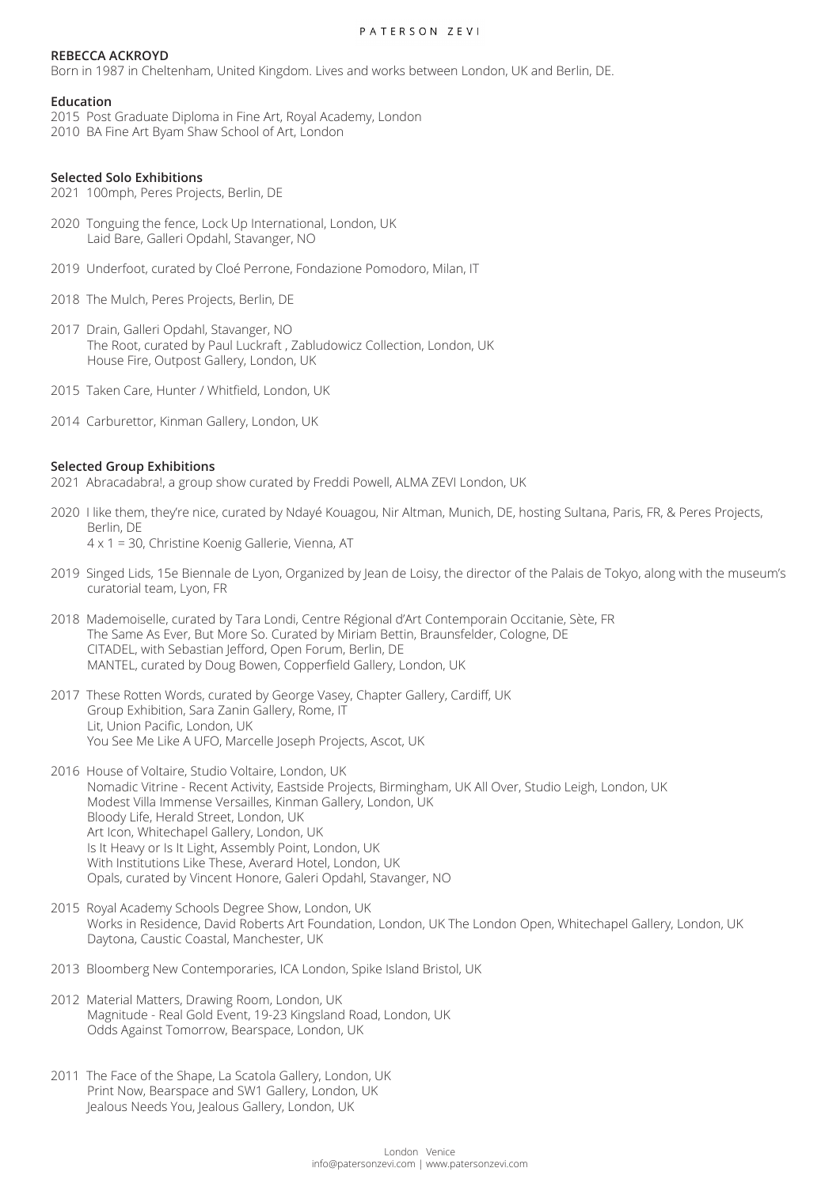#### PATERSON ZEVI

# **REBECCA ACKROYD**

Born in 1987 in Cheltenham, United Kingdom. Lives and works between London, UK and Berlin, DE.

### **Education**

2015 Post Graduate Diploma in Fine Art, Royal Academy, London 2010 BA Fine Art Byam Shaw School of Art, London

### **Selected Solo Exhibitions**

2021 100mph, Peres Projects, Berlin, DE

- 2020 Tonguing the fence, Lock Up International, London, UK Laid Bare, Galleri Opdahl, Stavanger, NO
- 2019 Underfoot, curated by Cloé Perrone, Fondazione Pomodoro, Milan, IT
- 2018 The Mulch, Peres Projects, Berlin, DE
- 2017 Drain, Galleri Opdahl, Stavanger, NO The Root, curated by Paul Luckraft , Zabludowicz Collection, London, UK House Fire, Outpost Gallery, London, UK
- 2015 Taken Care, Hunter / Whitfield, London, UK
- 2014 Carburettor, Kinman Gallery, London, UK

#### **Selected Group Exhibitions**

2021 Abracadabra!, a group show curated by Freddi Powell, ALMA ZEVI London, UK

- 2020 I like them, they're nice, curated by Ndayé Kouagou, Nir Altman, Munich, DE, hosting Sultana, Paris, FR, & Peres Projects, Berlin, DE 4 x 1 = 30, Christine Koenig Gallerie, Vienna, AT
- 2019 Singed Lids, 15e Biennale de Lyon, Organized by Jean de Loisy, the director of the Palais de Tokyo, along with the museum's curatorial team, Lyon, FR
- 2018 Mademoiselle, curated by Tara Londi, Centre Régional d'Art Contemporain Occitanie, Sète, FR The Same As Ever, But More So. Curated by Miriam Bettin, Braunsfelder, Cologne, DE CITADEL, with Sebastian Jefford, Open Forum, Berlin, DE MANTEL, curated by Doug Bowen, Copperfield Gallery, London, UK
- 2017 These Rotten Words, curated by George Vasey, Chapter Gallery, Cardiff, UK Group Exhibition, Sara Zanin Gallery, Rome, IT Lit, Union Pacific, London, UK You See Me Like A UFO, Marcelle Joseph Projects, Ascot, UK
- 2016 House of Voltaire, Studio Voltaire, London, UK Nomadic Vitrine - Recent Activity, Eastside Projects, Birmingham, UK All Over, Studio Leigh, London, UK Modest Villa Immense Versailles, Kinman Gallery, London, UK Bloody Life, Herald Street, London, UK Art Icon, Whitechapel Gallery, London, UK Is It Heavy or Is It Light, Assembly Point, London, UK With Institutions Like These, Averard Hotel, London, UK Opals, curated by Vincent Honore, Galeri Opdahl, Stavanger, NO
- 2015 Royal Academy Schools Degree Show, London, UK Works in Residence, David Roberts Art Foundation, London, UK The London Open, Whitechapel Gallery, London, UK Daytona, Caustic Coastal, Manchester, UK
- 2013 Bloomberg New Contemporaries, ICA London, Spike Island Bristol, UK
- 2012 Material Matters, Drawing Room, London, UK Magnitude - Real Gold Event, 19-23 Kingsland Road, London, UK Odds Against Tomorrow, Bearspace, London, UK
- 2011 The Face of the Shape, La Scatola Gallery, London, UK Print Now, Bearspace and SW1 Gallery, London, UK Jealous Needs You, Jealous Gallery, London, UK